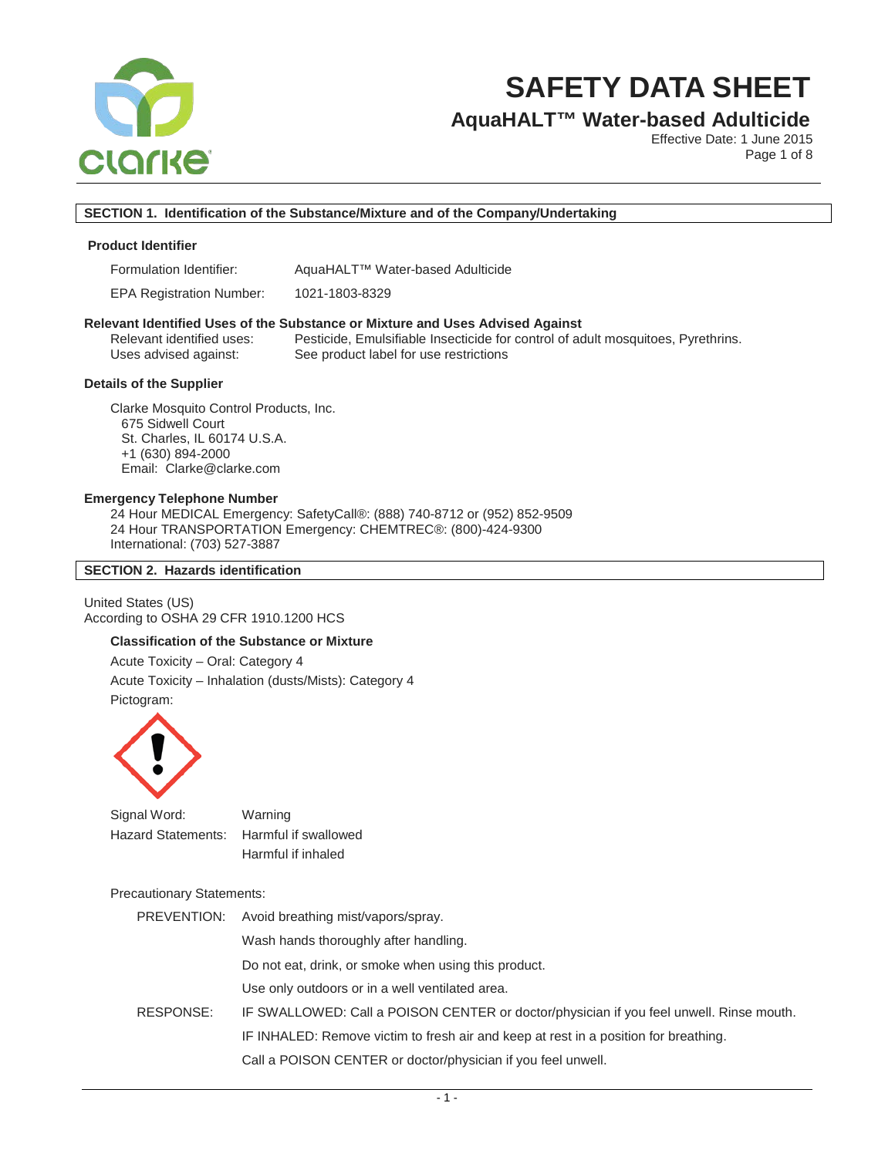

# **AquaHALT™ Water-based Adulticide**

Effective Date: 1 June 2015 Page 1 of 8

# **SECTION 1. Identification of the Substance/Mixture and of the Company/Undertaking**

### **Product Identifier**

Formulation Identifier: AquaHALT™ Water-based Adulticide

EPA Registration Number: 1021-1803-8329

#### **Relevant Identified Uses of the Substance or Mixture and Uses Advised Against**

Relevant identified uses: Pesticide, Emulsifiable Insecticide for control of adult mosquitoes, Pyrethrins. Uses advised against: See product label for use restrictions

# **Details of the Supplier**

Clarke Mosquito Control Products, Inc. 675 Sidwell Court St. Charles, IL 60174 U.S.A. +1 (630) 894-2000 Email: Clarke@clarke.com

#### **Emergency Telephone Number**

24 Hour MEDICAL Emergency: SafetyCall®: (888) 740-8712 or (952) 852-9509 24 Hour TRANSPORTATION Emergency: CHEMTREC®: (800)-424-9300 International: (703) 527-3887

### **SECTION 2. Hazards identification**

United States (US) According to OSHA 29 CFR 1910.1200 HCS

#### **Classification of the Substance or Mixture**

Acute Toxicity – Oral: Category 4 Acute Toxicity – Inhalation (dusts/Mists): Category 4 Pictogram:



| Signal Word: | Warning                                 |
|--------------|-----------------------------------------|
|              | Hazard Statements: Harmful if swallowed |
|              | Harmful if inhaled                      |

### Precautionary Statements:

| PREVENTION: | Avoid breathing mist/vapors/spray.                                                      |
|-------------|-----------------------------------------------------------------------------------------|
|             | Wash hands thoroughly after handling.                                                   |
|             | Do not eat, drink, or smoke when using this product.                                    |
|             | Use only outdoors or in a well ventilated area.                                         |
| RESPONSE:   | IF SWALLOWED: Call a POISON CENTER or doctor/physician if you feel unwell. Rinse mouth. |
|             | IF INHALED: Remove victim to fresh air and keep at rest in a position for breathing.    |
|             | Call a POISON CENTER or doctor/physician if you feel unwell.                            |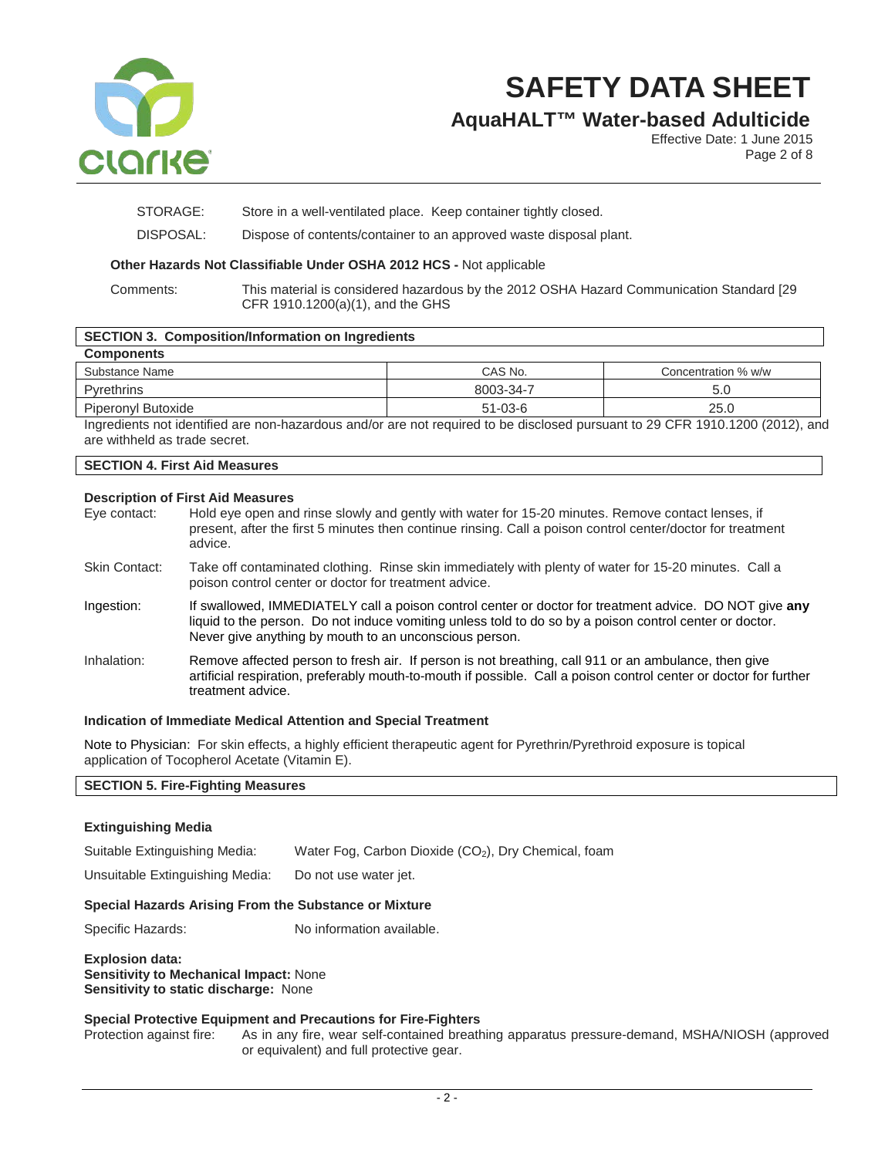

# **AquaHALT™ Water-based Adulticide**

Effective Date: 1 June 2015 Page 2 of 8

STORAGE: Store in a well-ventilated place. Keep container tightly closed.

DISPOSAL: Dispose of contents/container to an approved waste disposal plant.

# **Other Hazards Not Classifiable Under OSHA 2012 HCS -** Not applicable

Comments: This material is considered hazardous by the 2012 OSHA Hazard Communication Standard [29 CFR 1910.1200(a)(1), and the GHS

# **SECTION 3. Composition/Information on Ingredients**

| <b>Components</b>  |               |                     |
|--------------------|---------------|---------------------|
| Substance Name     | CAS No.       | Concentration % w/w |
| <b>Pyrethrins</b>  | 8003-34-7     | 5.0                 |
| Piperonyl Butoxide | $51 - 03 - 6$ | 25.0                |

Ingredients not identified are non-hazardous and/or are not required to be disclosed pursuant to 29 CFR 1910.1200 (2012), and are withheld as trade secret.

# **SECTION 4. First Aid Measures**

# **Description of First Aid Measures**

|                      | <b>PESUIDIULE UL LIISLAIU MEGSULES</b>                                                                                                                                                                                                                                      |
|----------------------|-----------------------------------------------------------------------------------------------------------------------------------------------------------------------------------------------------------------------------------------------------------------------------|
| Eye contact:         | Hold eye open and rinse slowly and gently with water for 15-20 minutes. Remove contact lenses, if<br>present, after the first 5 minutes then continue rinsing. Call a poison control center/doctor for treatment<br>advice.                                                 |
| <b>Skin Contact:</b> | Take off contaminated clothing. Rinse skin immediately with plenty of water for 15-20 minutes. Call a<br>poison control center or doctor for treatment advice.                                                                                                              |
| Ingestion:           | If swallowed, IMMEDIATELY call a poison control center or doctor for treatment advice. DO NOT give any<br>liquid to the person. Do not induce vomiting unless told to do so by a poison control center or doctor.<br>Never give anything by mouth to an unconscious person. |
| Inhalation:          | Remove affected person to fresh air. If person is not breathing, call 911 or an ambulance, then give<br>artificial respiration, preferably mouth-to-mouth if possible. Call a poison control center or doctor for further<br>treatment advice.                              |

### **Indication of Immediate Medical Attention and Special Treatment**

Note to Physician: For skin effects, a highly efficient therapeutic agent for Pyrethrin/Pyrethroid exposure is topical application of Tocopherol Acetate (Vitamin E).

# **SECTION 5. Fire-Fighting Measures**

| <b>Extinguishing Media</b>                                                                                              |                                                                  |  |
|-------------------------------------------------------------------------------------------------------------------------|------------------------------------------------------------------|--|
| Suitable Extinguishing Media:                                                                                           | Water Fog, Carbon Dioxide (CO <sub>2</sub> ), Dry Chemical, foam |  |
| Unsuitable Extinguishing Media:                                                                                         | Do not use water jet.                                            |  |
| Special Hazards Arising From the Substance or Mixture                                                                   |                                                                  |  |
| Specific Hazards:                                                                                                       | No information available.                                        |  |
| <b>Explosion data:</b><br><b>Sensitivity to Mechanical Impact: None</b><br><b>Sensitivity to static discharge: None</b> |                                                                  |  |
| <b>Special Protective Equipment and Precautions for Fire-Fighters</b>                                                   |                                                                  |  |

# Protection against fire: As in any fire, wear self-contained breathing apparatus pressure-demand, MSHA/NIOSH (approved or equivalent) and full protective gear.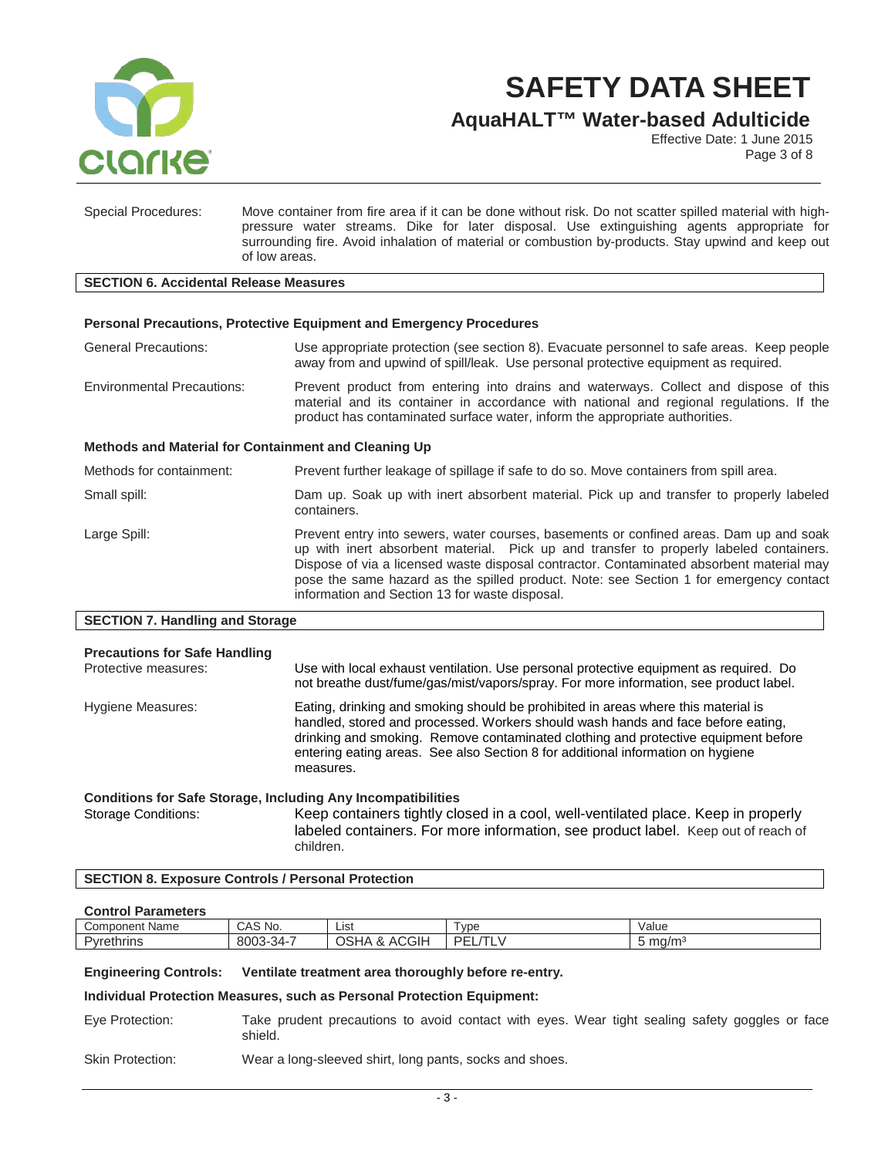

**AquaHALT™ Water-based Adulticide**

Effective Date: 1 June 2015 Page 3 of 8

Special Procedures: Move container from fire area if it can be done without risk. Do not scatter spilled material with highpressure water streams. Dike for later disposal. Use extinguishing agents appropriate for surrounding fire. Avoid inhalation of material or combustion by-products. Stay upwind and keep out of low areas.

#### **SECTION 6. Accidental Release Measures**

### **Personal Precautions, Protective Equipment and Emergency Procedures**

General Precautions: Use appropriate protection (see section 8). Evacuate personnel to safe areas. Keep people away from and upwind of spill/leak. Use personal protective equipment as required.

Environmental Precautions: Prevent product from entering into drains and waterways. Collect and dispose of this material and its container in accordance with national and regional regulations. If the product has contaminated surface water, inform the appropriate authorities.

#### **Methods and Material for Containment and Cleaning Up**

Methods for containment: Prevent further leakage of spillage if safe to do so. Move containers from spill area. Small spill: Dam up. Soak up with inert absorbent material. Pick up and transfer to properly labeled containers. Large Spill: Prevent entry into sewers, water courses, basements or confined areas. Dam up and soak up with inert absorbent material. Pick up and transfer to properly labeled containers. Dispose of via a licensed waste disposal contractor. Contaminated absorbent material may pose the same hazard as the spilled product. Note: see Section 1 for emergency contact information and Section 13 for waste disposal.

#### **SECTION 7. Handling and Storage**

| <b>Precautions for Safe Handling</b><br>Protective measures:        | Use with local exhaust ventilation. Use personal protective equipment as required. Do<br>not breathe dust/fume/gas/mist/vapors/spray. For more information, see product label.                                                                                                                                                                              |
|---------------------------------------------------------------------|-------------------------------------------------------------------------------------------------------------------------------------------------------------------------------------------------------------------------------------------------------------------------------------------------------------------------------------------------------------|
| Hygiene Measures:                                                   | Eating, drinking and smoking should be prohibited in areas where this material is<br>handled, stored and processed. Workers should wash hands and face before eating.<br>drinking and smoking. Remove contaminated clothing and protective equipment before<br>entering eating areas. See also Section 8 for additional information on hygiene<br>measures. |
| <b>Conditions for Safe Storage, Including Any Incompatibilities</b> |                                                                                                                                                                                                                                                                                                                                                             |
| <b>Storage Conditions:</b>                                          | Keep containers tightly closed in a cool, well-ventilated place. Keep in properly                                                                                                                                                                                                                                                                           |

labeled containers. For more information, see product label. Keep out of reach of children.

### **SECTION 8. Exposure Controls / Personal Protection**

#### **Control Parameters**

| ∽<br>Componer'<br><b>Name</b><br>.     | $\sim$<br>No.<br>ъ л<br>UAJ           | Lıst                                                                          | vpe             | Value                             |
|----------------------------------------|---------------------------------------|-------------------------------------------------------------------------------|-----------------|-----------------------------------|
| $\overline{\phantom{0}}$<br>Pyrethrins | -<br>ooor<br>$34 -$<br>ธเ<br>$\cdots$ | $\sim$<br>$\sim$<br>۱л.<br>ات<br>.<br>ு<br>$\sim$<br>$\overline{\phantom{a}}$ | DE<br>. .<br>__ | $\sim$ $\sim$ $\sim$<br>mazm<br>ີ |

#### **Engineering Controls: Ventilate treatment area thoroughly before re-entry.**

#### **Individual Protection Measures, such as Personal Protection Equipment:**

Eye Protection: Take prudent precautions to avoid contact with eyes. Wear tight sealing safety goggles or face shield.

Skin Protection: Wear a long-sleeved shirt, long pants, socks and shoes.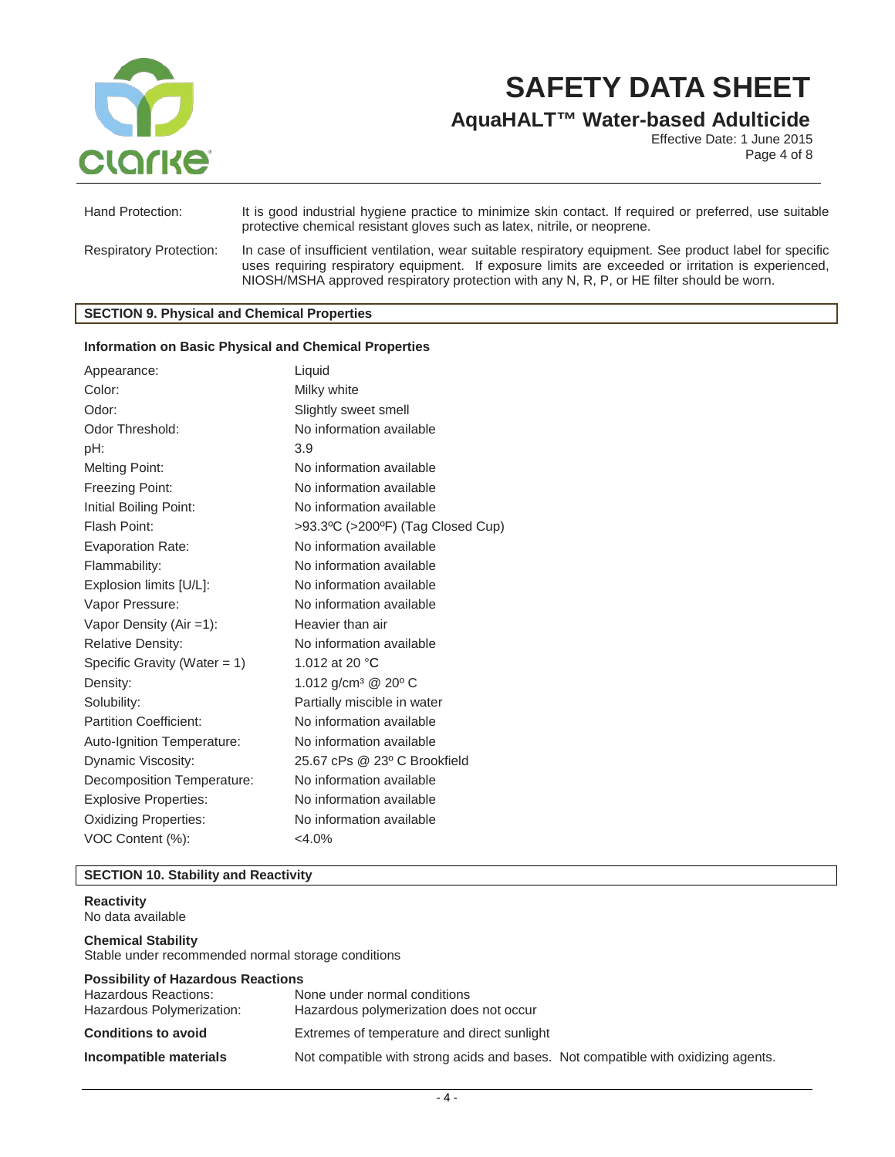

**AquaHALT™ Water-based Adulticide**

Effective Date: 1 June 2015 Page 4 of 8

| Hand Protection:               | It is good industrial hygiene practice to minimize skin contact. If required or preferred, use suitable<br>protective chemical resistant gloves such as latex, nitrile, or neoprene.                                                                                                                         |
|--------------------------------|--------------------------------------------------------------------------------------------------------------------------------------------------------------------------------------------------------------------------------------------------------------------------------------------------------------|
| <b>Respiratory Protection:</b> | In case of insufficient ventilation, wear suitable respiratory equipment. See product label for specific<br>uses requiring respiratory equipment. If exposure limits are exceeded or irritation is experienced,<br>NIOSH/MSHA approved respiratory protection with any N, R, P, or HE filter should be worn. |

# **SECTION 9. Physical and Chemical Properties**

#### **Information on Basic Physical and Chemical Properties**

| Appearance:                     | Liquid                                      |
|---------------------------------|---------------------------------------------|
| Color:                          | Milky white                                 |
| Odor:                           | Slightly sweet smell                        |
| Odor Threshold:                 | No information available                    |
| pH:                             | 3.9                                         |
| <b>Melting Point:</b>           | No information available                    |
| Freezing Point:                 | No information available                    |
| Initial Boiling Point:          | No information available                    |
| Flash Point:                    | >93.3°C (>200°F) (Tag Closed Cup)           |
| <b>Evaporation Rate:</b>        | No information available                    |
| Flammability:                   | No information available                    |
| Explosion limits [U/L]:         | No information available                    |
| Vapor Pressure:                 | No information available                    |
| Vapor Density $(Air = 1)$ :     | Heavier than air                            |
| <b>Relative Density:</b>        | No information available                    |
| Specific Gravity (Water $= 1$ ) | 1.012 at 20 °C                              |
| Density:                        | 1.012 g/cm <sup>3</sup> @ 20 <sup>o</sup> C |
| Solubility:                     | Partially miscible in water                 |
| <b>Partition Coefficient:</b>   | No information available                    |
| Auto-Ignition Temperature:      | No information available                    |
| Dynamic Viscosity:              | 25.67 cPs @ 23° C Brookfield                |
| Decomposition Temperature:      | No information available                    |
| <b>Explosive Properties:</b>    | No information available                    |
| <b>Oxidizing Properties:</b>    | No information available                    |
| VOC Content (%):                | $<$ 4.0%                                    |

# **SECTION 10. Stability and Reactivity**

# **Reactivity** No data available **Chemical Stability** Stable under recommended normal storage conditions **Possibility of Hazardous Reactions** Hazardous Reactions: None under normal conditions Hazardous polymerization does not occur **Conditions to avoid** Extremes of temperature and direct sunlight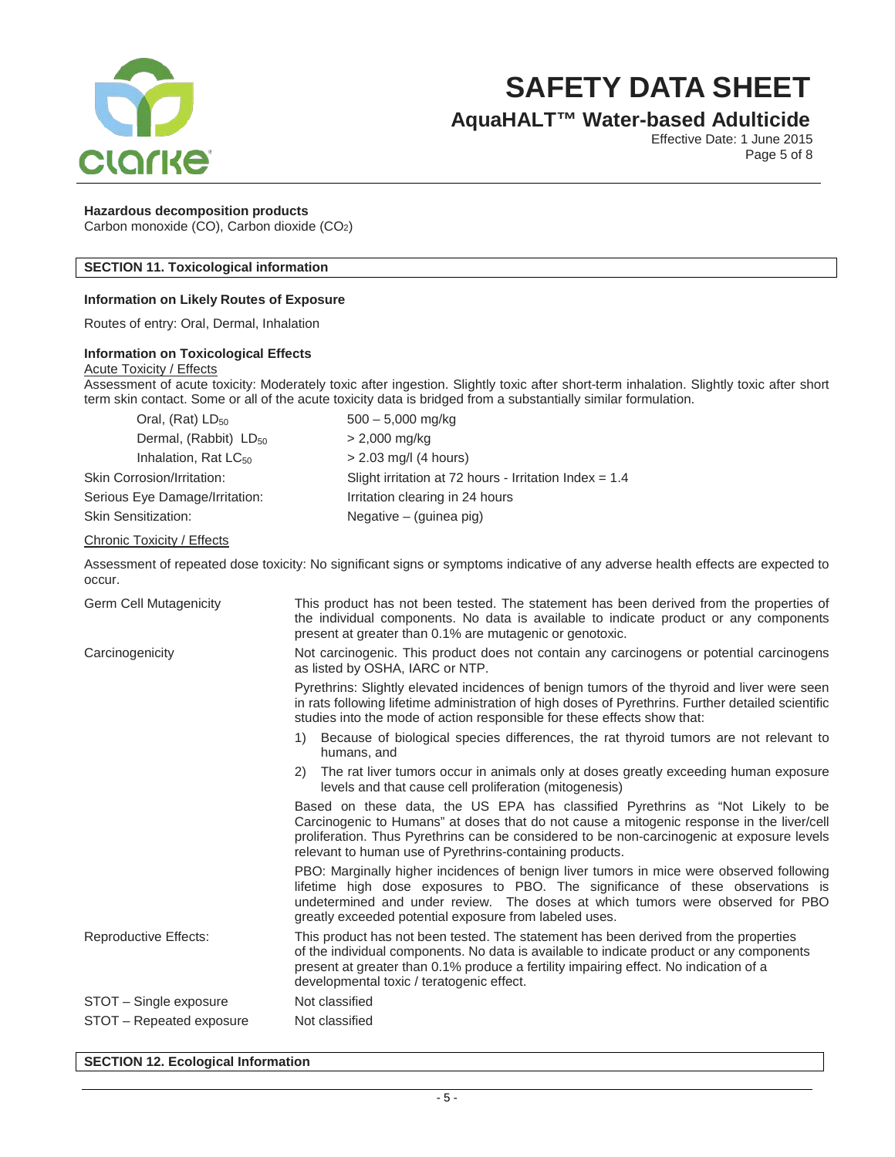

# **AquaHALT™ Water-based Adulticide**

Effective Date: 1 June 2015 Page 5 of 8

### **Hazardous decomposition products**

Carbon monoxide (CO), Carbon dioxide (CO2)

# **SECTION 11. Toxicological information**

### **Information on Likely Routes of Exposure**

Routes of entry: Oral, Dermal, Inhalation

# **Information on Toxicological Effects**

#### Acute Toxicity / Effects

Assessment of acute toxicity: Moderately toxic after ingestion. Slightly toxic after short-term inhalation. Slightly toxic after short term skin contact. Some or all of the acute toxicity data is bridged from a substantially similar formulation.

| $500 - 5,000$ mg/kg                                      |
|----------------------------------------------------------|
| $> 2,000$ mg/kg                                          |
| $> 2.03$ mg/l (4 hours)                                  |
| Slight irritation at 72 hours - Irritation Index = $1.4$ |
| Irritation clearing in 24 hours                          |
| Negative $-$ (guinea pig)                                |
|                                                          |

#### Chronic Toxicity / Effects

Assessment of repeated dose toxicity: No significant signs or symptoms indicative of any adverse health effects are expected to occur.

| Germ Cell Mutagenicity   | This product has not been tested. The statement has been derived from the properties of<br>the individual components. No data is available to indicate product or any components<br>present at greater than 0.1% are mutagenic or genotoxic.                                                                                          |  |
|--------------------------|---------------------------------------------------------------------------------------------------------------------------------------------------------------------------------------------------------------------------------------------------------------------------------------------------------------------------------------|--|
| Carcinogenicity          | Not carcinogenic. This product does not contain any carcinogens or potential carcinogens<br>as listed by OSHA, IARC or NTP.                                                                                                                                                                                                           |  |
|                          | Pyrethrins: Slightly elevated incidences of benign tumors of the thyroid and liver were seen<br>in rats following lifetime administration of high doses of Pyrethrins. Further detailed scientific<br>studies into the mode of action responsible for these effects show that:                                                        |  |
|                          | Because of biological species differences, the rat thyroid tumors are not relevant to<br>1)<br>humans, and                                                                                                                                                                                                                            |  |
|                          | The rat liver tumors occur in animals only at doses greatly exceeding human exposure<br>2)<br>levels and that cause cell proliferation (mitogenesis)                                                                                                                                                                                  |  |
|                          | Based on these data, the US EPA has classified Pyrethrins as "Not Likely to be<br>Carcinogenic to Humans" at doses that do not cause a mitogenic response in the liver/cell<br>proliferation. Thus Pyrethrins can be considered to be non-carcinogenic at exposure levels<br>relevant to human use of Pyrethrins-containing products. |  |
|                          | PBO: Marginally higher incidences of benign liver tumors in mice were observed following<br>lifetime high dose exposures to PBO. The significance of these observations is<br>undetermined and under review. The doses at which tumors were observed for PBO<br>greatly exceeded potential exposure from labeled uses.                |  |
| Reproductive Effects:    | This product has not been tested. The statement has been derived from the properties<br>of the individual components. No data is available to indicate product or any components<br>present at greater than 0.1% produce a fertility impairing effect. No indication of a<br>developmental toxic / teratogenic effect.                |  |
| STOT - Single exposure   | Not classified                                                                                                                                                                                                                                                                                                                        |  |
| STOT – Repeated exposure | Not classified                                                                                                                                                                                                                                                                                                                        |  |

**SECTION 12. Ecological Information**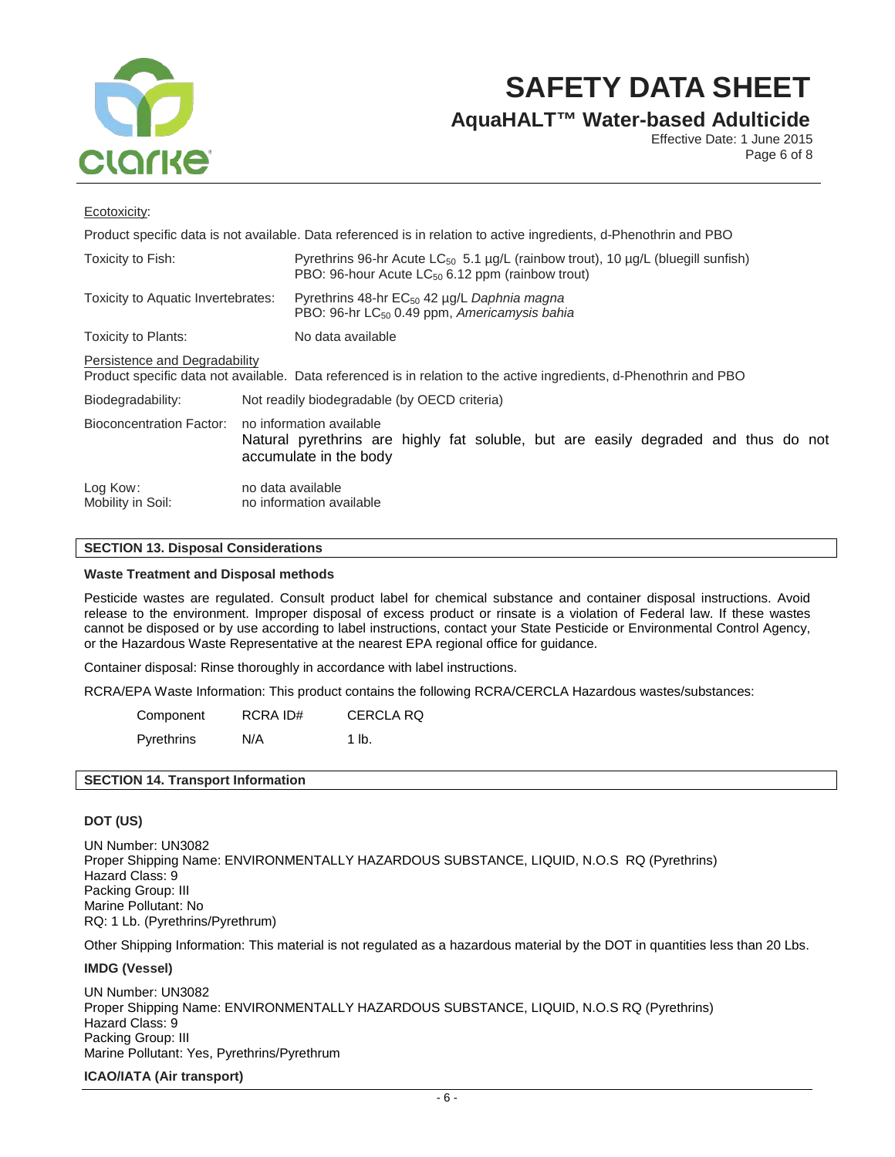

**AquaHALT™ Water-based Adulticide**

Effective Date: 1 June 2015 Page 6 of 8

### Ecotoxicity:

| Product specific data is not available. Data referenced is in relation to active ingredients, d-Phenothrin and PBO                                   |                                                                                                                                          |                                                                                                                                                                        |  |
|------------------------------------------------------------------------------------------------------------------------------------------------------|------------------------------------------------------------------------------------------------------------------------------------------|------------------------------------------------------------------------------------------------------------------------------------------------------------------------|--|
| Toxicity to Fish:                                                                                                                                    |                                                                                                                                          | Pyrethrins 96-hr Acute LC <sub>50</sub> 5.1 $\mu$ g/L (rainbow trout), 10 $\mu$ g/L (bluegill sunfish)<br>PBO: 96-hour Acute LC <sub>50</sub> 6.12 ppm (rainbow trout) |  |
| Toxicity to Aquatic Invertebrates:                                                                                                                   |                                                                                                                                          | Pyrethrins 48-hr EC <sub>50</sub> 42 µg/L Daphnia magna<br>PBO: 96-hr LC <sub>50</sub> 0.49 ppm, Americamysis bahia                                                    |  |
| Toxicity to Plants:                                                                                                                                  | No data available                                                                                                                        |                                                                                                                                                                        |  |
| Persistence and Degradability<br>Product specific data not available. Data referenced is in relation to the active ingredients, d-Phenothrin and PBO |                                                                                                                                          |                                                                                                                                                                        |  |
| Biodegradability:                                                                                                                                    | Not readily biodegradable (by OECD criteria)                                                                                             |                                                                                                                                                                        |  |
| Bioconcentration Factor:                                                                                                                             | no information available<br>Natural pyrethrins are highly fat soluble, but are easily degraded and thus do not<br>accumulate in the body |                                                                                                                                                                        |  |
| Log Kow:<br>Mobility in Soil:                                                                                                                        | no data available<br>no information available                                                                                            |                                                                                                                                                                        |  |

# **SECTION 13. Disposal Considerations**

### **Waste Treatment and Disposal methods**

Pesticide wastes are regulated. Consult product label for chemical substance and container disposal instructions. Avoid release to the environment. Improper disposal of excess product or rinsate is a violation of Federal law. If these wastes cannot be disposed or by use according to label instructions, contact your State Pesticide or Environmental Control Agency, or the Hazardous Waste Representative at the nearest EPA regional office for guidance.

Container disposal: Rinse thoroughly in accordance with label instructions.

RCRA/EPA Waste Information: This product contains the following RCRA/CERCLA Hazardous wastes/substances:

Component RCRA ID# CERCLA RQ Pyrethrins N/A 1 lb.

# **SECTION 14. Transport Information**

# **DOT (US)**

UN Number: UN3082 Proper Shipping Name: ENVIRONMENTALLY HAZARDOUS SUBSTANCE, LIQUID, N.O.S RQ (Pyrethrins) Hazard Class: 9 Packing Group: III Marine Pollutant: No RQ: 1 Lb. (Pyrethrins/Pyrethrum)

Other Shipping Information: This material is not regulated as a hazardous material by the DOT in quantities less than 20 Lbs.

### **IMDG (Vessel)**

UN Number: UN3082 Proper Shipping Name: ENVIRONMENTALLY HAZARDOUS SUBSTANCE, LIQUID, N.O.S RQ (Pyrethrins) Hazard Class: 9 Packing Group: III Marine Pollutant: Yes, Pyrethrins/Pyrethrum

### **ICAO/IATA (Air transport)**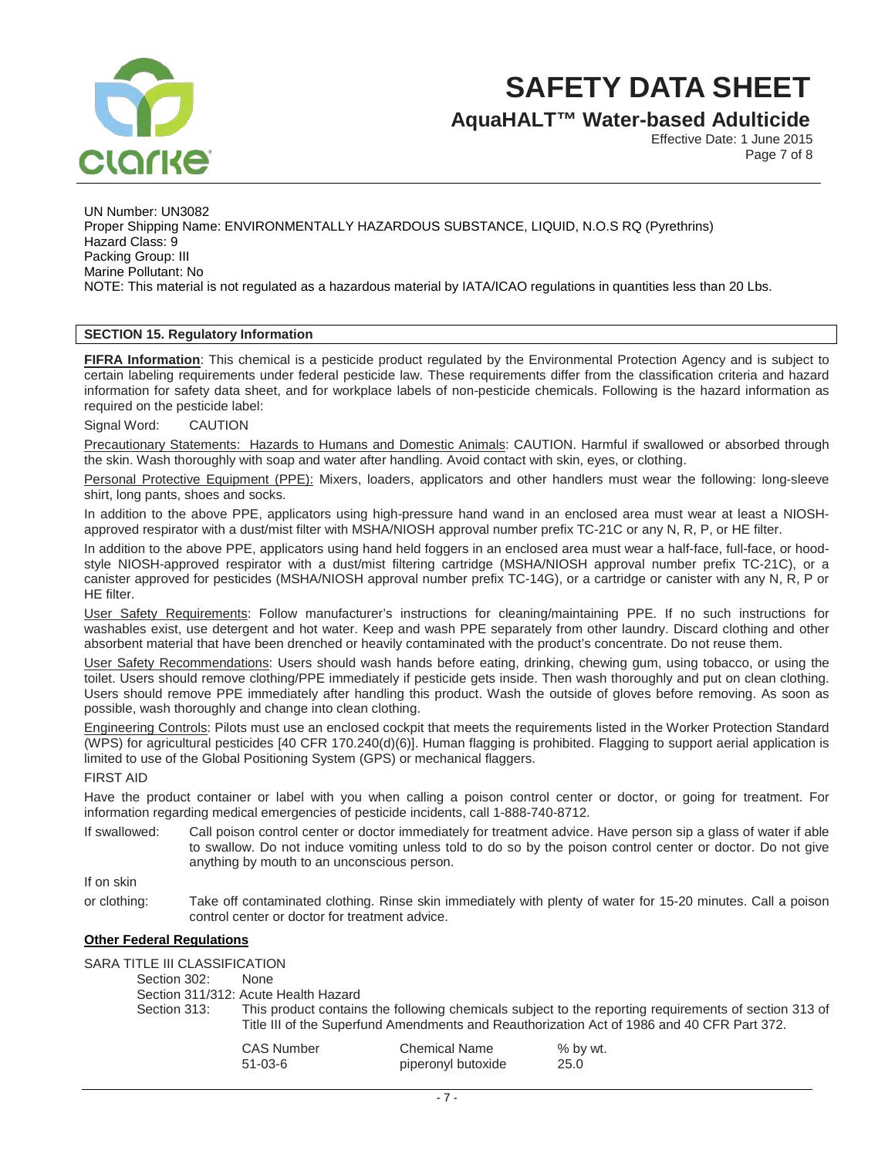

**AquaHALT™ Water-based Adulticide**

Effective Date: 1 June 2015 Page 7 of 8

UN Number: UN3082 Proper Shipping Name: ENVIRONMENTALLY HAZARDOUS SUBSTANCE, LIQUID, N.O.S RQ (Pyrethrins) Hazard Class: 9 Packing Group: III Marine Pollutant: No NOTE: This material is not regulated as a hazardous material by IATA/ICAO regulations in quantities less than 20 Lbs.

# **SECTION 15. Regulatory Information**

**FIFRA Information**: This chemical is a pesticide product regulated by the Environmental Protection Agency and is subject to certain labeling requirements under federal pesticide law. These requirements differ from the classification criteria and hazard information for safety data sheet, and for workplace labels of non-pesticide chemicals. Following is the hazard information as required on the pesticide label:

Signal Word: CAUTION

Precautionary Statements: Hazards to Humans and Domestic Animals: CAUTION. Harmful if swallowed or absorbed through the skin. Wash thoroughly with soap and water after handling. Avoid contact with skin, eyes, or clothing.

Personal Protective Equipment (PPE): Mixers, loaders, applicators and other handlers must wear the following: long-sleeve shirt, long pants, shoes and socks.

In addition to the above PPE, applicators using high-pressure hand wand in an enclosed area must wear at least a NIOSHapproved respirator with a dust/mist filter with MSHA/NIOSH approval number prefix TC-21C or any N, R, P, or HE filter.

In addition to the above PPE, applicators using hand held foggers in an enclosed area must wear a half-face, full-face, or hoodstyle NIOSH-approved respirator with a dust/mist filtering cartridge (MSHA/NIOSH approval number prefix TC-21C), or a canister approved for pesticides (MSHA/NIOSH approval number prefix TC-14G), or a cartridge or canister with any N, R, P or HE filter.

User Safety Requirements: Follow manufacturer's instructions for cleaning/maintaining PPE. If no such instructions for washables exist, use detergent and hot water. Keep and wash PPE separately from other laundry. Discard clothing and other absorbent material that have been drenched or heavily contaminated with the product's concentrate. Do not reuse them.

User Safety Recommendations: Users should wash hands before eating, drinking, chewing gum, using tobacco, or using the toilet. Users should remove clothing/PPE immediately if pesticide gets inside. Then wash thoroughly and put on clean clothing. Users should remove PPE immediately after handling this product. Wash the outside of gloves before removing. As soon as possible, wash thoroughly and change into clean clothing.

Engineering Controls: Pilots must use an enclosed cockpit that meets the requirements listed in the Worker Protection Standard (WPS) for agricultural pesticides [40 CFR 170.240(d)(6)]. Human flagging is prohibited. Flagging to support aerial application is limited to use of the Global Positioning System (GPS) or mechanical flaggers.

### FIRST AID

Have the product container or label with you when calling a poison control center or doctor, or going for treatment. For information regarding medical emergencies of pesticide incidents, call 1-888-740-8712.

If swallowed: Call poison control center or doctor immediately for treatment advice. Have person sip a glass of water if able to swallow. Do not induce vomiting unless told to do so by the poison control center or doctor. Do not give anything by mouth to an unconscious person.

# If on skin

or clothing: Take off contaminated clothing. Rinse skin immediately with plenty of water for 15-20 minutes. Call a poison control center or doctor for treatment advice.

### **Other Federal Regulations**

SARA TITLE III CLASSIFICATION<br>Section 302: None

Section 302:

Section 311/312: Acute Health Hazard

Section 313: This product contains the following chemicals subject to the reporting requirements of section 313 of Title III of the Superfund Amendments and Reauthorization Act of 1986 and 40 CFR Part 372.

| CAS Number | <b>Chemical Name</b> | % by wt. |
|------------|----------------------|----------|
| 51-03-6    | piperonyl butoxide   | 25.0     |